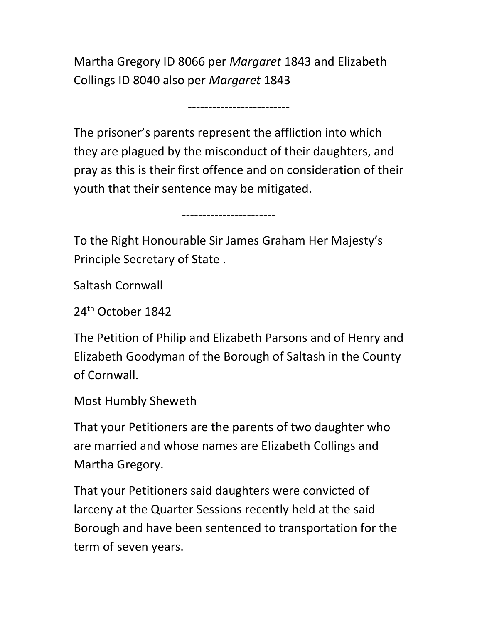Martha Gregory ID 8066 per Margaret 1843 and Elizabeth Collings ID 8040 also per Margaret 1843

-------------------------

The prisoner's parents represent the affliction into which they are plagued by the misconduct of their daughters, and pray as this is their first offence and on consideration of their youth that their sentence may be mitigated.

-----------------------

To the Right Honourable Sir James Graham Her Majesty's Principle Secretary of State .

Saltash Cornwall

24th October 1842

The Petition of Philip and Elizabeth Parsons and of Henry and Elizabeth Goodyman of the Borough of Saltash in the County of Cornwall.

Most Humbly Sheweth

That your Petitioners are the parents of two daughter who are married and whose names are Elizabeth Collings and Martha Gregory.

That your Petitioners said daughters were convicted of larceny at the Quarter Sessions recently held at the said Borough and have been sentenced to transportation for the term of seven years.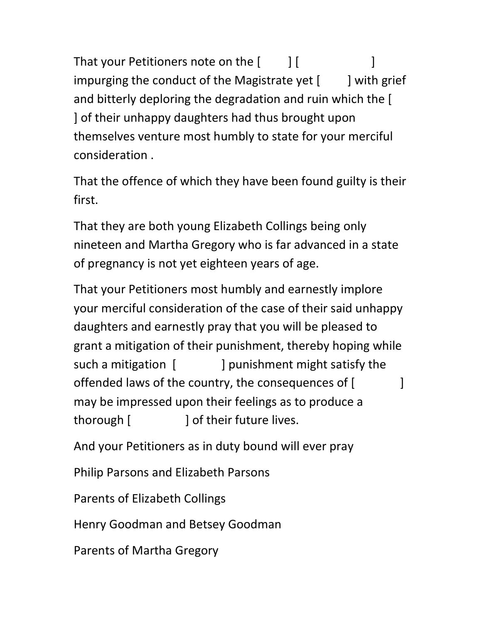That your Petitioners note on the  $[$   $]$   $[$   $]$ impurging the conduct of the Magistrate yet  $[$  ] with grief and bitterly deploring the degradation and ruin which the [ ] of their unhappy daughters had thus brought upon themselves venture most humbly to state for your merciful consideration .

That the offence of which they have been found guilty is their first.

That they are both young Elizabeth Collings being only nineteen and Martha Gregory who is far advanced in a state of pregnancy is not yet eighteen years of age.

That your Petitioners most humbly and earnestly implore your merciful consideration of the case of their said unhappy daughters and earnestly pray that you will be pleased to grant a mitigation of their punishment, thereby hoping while such a mitigation [ ] punishment might satisfy the offended laws of the country, the consequences of [ may be impressed upon their feelings as to produce a thorough [  $\qquad$  ] of their future lives.

And your Petitioners as in duty bound will ever pray

Philip Parsons and Elizabeth Parsons

Parents of Elizabeth Collings

Henry Goodman and Betsey Goodman

Parents of Martha Gregory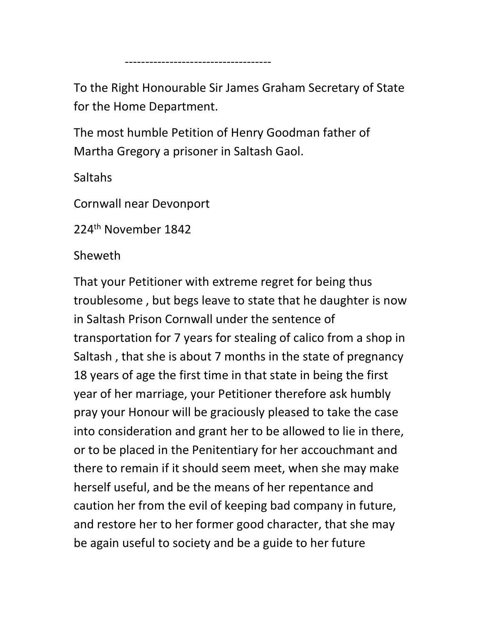To the Right Honourable Sir James Graham Secretary of State for the Home Department.

The most humble Petition of Henry Goodman father of Martha Gregory a prisoner in Saltash Gaol.

Saltahs

Cornwall near Devonport

------------------------------------

224<sup>th</sup> November 1842

Sheweth

That your Petitioner with extreme regret for being thus troublesome , but begs leave to state that he daughter is now in Saltash Prison Cornwall under the sentence of transportation for 7 years for stealing of calico from a shop in Saltash , that she is about 7 months in the state of pregnancy 18 years of age the first time in that state in being the first year of her marriage, your Petitioner therefore ask humbly pray your Honour will be graciously pleased to take the case into consideration and grant her to be allowed to lie in there, or to be placed in the Penitentiary for her accouchmant and there to remain if it should seem meet, when she may make herself useful, and be the means of her repentance and caution her from the evil of keeping bad company in future, and restore her to her former good character, that she may be again useful to society and be a guide to her future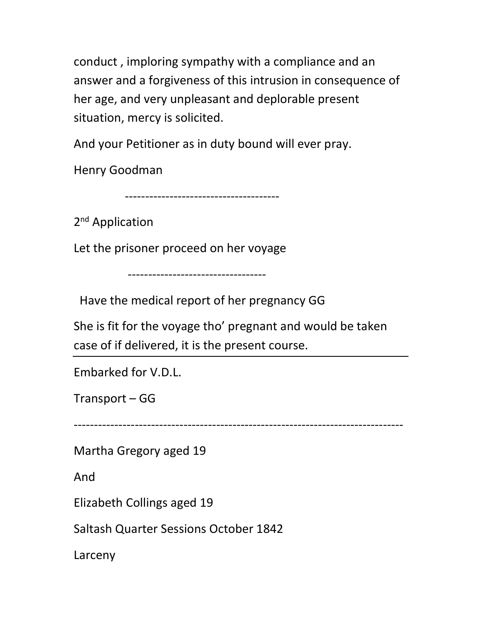conduct , imploring sympathy with a compliance and an answer and a forgiveness of this intrusion in consequence of her age, and very unpleasant and deplorable present situation, mercy is solicited.

And your Petitioner as in duty bound will ever pray.

Henry Goodman

--------------------------------------

2<sup>nd</sup> Application

Let the prisoner proceed on her voyage

----------------------------------

Have the medical report of her pregnancy GG

She is fit for the voyage tho' pregnant and would be taken case of if delivered, it is the present course.

Embarked for V.D.L.

Transport – GG

---------------------------------------------------------------------------------

Martha Gregory aged 19

And

Elizabeth Collings aged 19

Saltash Quarter Sessions October 1842

Larceny